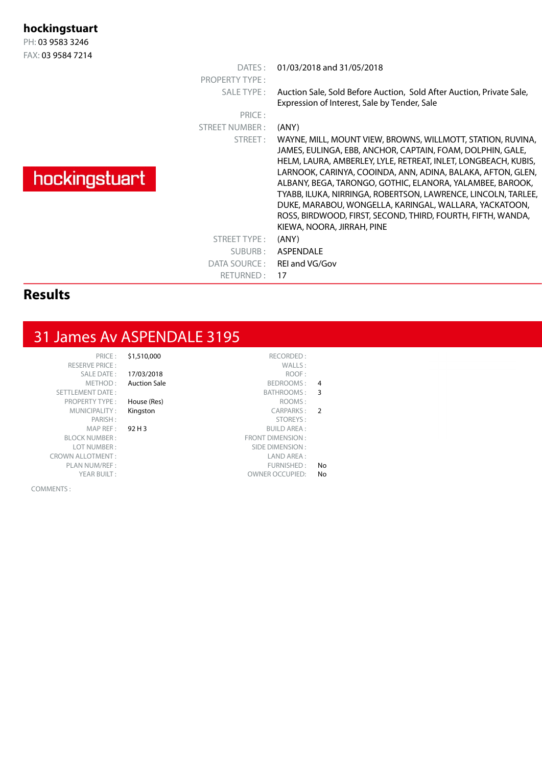#### **hockingstuart**

PH: 03 9583 3246 FAX: 03 9584 7214

| DATES:<br>01/03/2018 and 31/05/2018<br><b>PROPERTY TYPE:</b><br>SALE TYPE:<br>Auction Sale, Sold Before Auction, Sold After Auction, Private Sale,<br>Expression of Interest, Sale by Tender, Sale<br>PRICE:<br><b>STREET NUMBER:</b><br>(ANY)<br>STREET:<br>WAYNE, MILL, MOUNT VIEW, BROWNS, WILLMOTT, STATION, RUVINA,<br>JAMES, EULINGA, EBB, ANCHOR, CAPTAIN, FOAM, DOLPHIN, GALE,<br>HELM, LAURA, AMBERLEY, LYLE, RETREAT, INLET, LONGBEACH, KUBIS,<br>LARNOOK, CARINYA, COOINDA, ANN, ADINA, BALAKA, AFTON, GLEN,<br>hockingstuart<br>ALBANY, BEGA, TARONGO, GOTHIC, ELANORA, YALAMBEE, BAROOK,<br>DUKE, MARABOU, WONGELLA, KARINGAL, WALLARA, YACKATOON,<br>ROSS, BIRDWOOD, FIRST, SECOND, THIRD, FOURTH, FIFTH, WANDA,<br>KIEWA, NOORA, JIRRAH, PINE<br>(ANY)<br>STREET TYPE:<br><b>ASPENDALE</b><br>SUBURB:<br>REI and VG/Gov<br>DATA SOURCE : | $170.0330$ TILIT |           |    |
|---------------------------------------------------------------------------------------------------------------------------------------------------------------------------------------------------------------------------------------------------------------------------------------------------------------------------------------------------------------------------------------------------------------------------------------------------------------------------------------------------------------------------------------------------------------------------------------------------------------------------------------------------------------------------------------------------------------------------------------------------------------------------------------------------------------------------------------------------------|------------------|-----------|----|
| TYABB, ILUKA, NIRRINGA, ROBERTSON, LAWRENCE, LINCOLN, TARLEE,                                                                                                                                                                                                                                                                                                                                                                                                                                                                                                                                                                                                                                                                                                                                                                                           |                  |           |    |
|                                                                                                                                                                                                                                                                                                                                                                                                                                                                                                                                                                                                                                                                                                                                                                                                                                                         |                  |           |    |
|                                                                                                                                                                                                                                                                                                                                                                                                                                                                                                                                                                                                                                                                                                                                                                                                                                                         |                  |           |    |
|                                                                                                                                                                                                                                                                                                                                                                                                                                                                                                                                                                                                                                                                                                                                                                                                                                                         |                  |           |    |
|                                                                                                                                                                                                                                                                                                                                                                                                                                                                                                                                                                                                                                                                                                                                                                                                                                                         |                  |           |    |
|                                                                                                                                                                                                                                                                                                                                                                                                                                                                                                                                                                                                                                                                                                                                                                                                                                                         |                  |           |    |
|                                                                                                                                                                                                                                                                                                                                                                                                                                                                                                                                                                                                                                                                                                                                                                                                                                                         |                  |           |    |
|                                                                                                                                                                                                                                                                                                                                                                                                                                                                                                                                                                                                                                                                                                                                                                                                                                                         |                  |           |    |
|                                                                                                                                                                                                                                                                                                                                                                                                                                                                                                                                                                                                                                                                                                                                                                                                                                                         |                  |           |    |
|                                                                                                                                                                                                                                                                                                                                                                                                                                                                                                                                                                                                                                                                                                                                                                                                                                                         |                  | RETURNED: | 17 |

#### **Results**

### 31 James Av ASPENDALE 3195

| 71,010,000<br>$\begin{array}{c} \hline \end{array} \qquad \begin{array}{c} \hline \end{array} \qquad \begin{array}{c} \hline \end{array} \qquad \begin{array}{c} \hline \end{array} \qquad \begin{array}{c} \hline \end{array} \qquad \qquad \begin{array}{c} \hline \end{array} \qquad \qquad \begin{array}{c} \hline \end{array} \qquad \qquad \begin{array}{c} \hline \end{array} \qquad \qquad \begin{array}{c} \hline \end{array} \qquad \qquad \begin{array}{c} \hline \end{array} \qquad \qquad \begin{array}{c} \hline \end{array} \qquad \qquad \$ | $\Box$                  |
|-------------------------------------------------------------------------------------------------------------------------------------------------------------------------------------------------------------------------------------------------------------------------------------------------------------------------------------------------------------------------------------------------------------------------------------------------------------------------------------------------------------------------------------------------------------|-------------------------|
| WALLS:                                                                                                                                                                                                                                                                                                                                                                                                                                                                                                                                                      | <b>RESERVE PRICE:</b>   |
| 17/03/2018<br>ROOF:                                                                                                                                                                                                                                                                                                                                                                                                                                                                                                                                         | <b>SALE DATE:</b>       |
| <b>Auction Sale</b><br>BEDROOMS:                                                                                                                                                                                                                                                                                                                                                                                                                                                                                                                            | METHOD:                 |
| BATHROOMS:                                                                                                                                                                                                                                                                                                                                                                                                                                                                                                                                                  | <b>SETTLEMENT DATE:</b> |
| ROOMS:<br>House (Res)                                                                                                                                                                                                                                                                                                                                                                                                                                                                                                                                       | <b>PROPERTY TYPE:</b>   |
| CARPARKS:<br>Kingston                                                                                                                                                                                                                                                                                                                                                                                                                                                                                                                                       | MUNICIPALITY:           |
| STOREYS:                                                                                                                                                                                                                                                                                                                                                                                                                                                                                                                                                    | PARISH:                 |
| 92H3<br><b>BUILD AREA:</b>                                                                                                                                                                                                                                                                                                                                                                                                                                                                                                                                  | MAP REF:                |
| FRONT DIMENSION:                                                                                                                                                                                                                                                                                                                                                                                                                                                                                                                                            | <b>BLOCK NUMBER:</b>    |
| SIDE DIMENSION:                                                                                                                                                                                                                                                                                                                                                                                                                                                                                                                                             | LOT NUMBER:             |
| LAND AREA:                                                                                                                                                                                                                                                                                                                                                                                                                                                                                                                                                  | <b>CROWN ALLOTMENT:</b> |
| FURNISHED:                                                                                                                                                                                                                                                                                                                                                                                                                                                                                                                                                  | PLAN NUM/REF:           |
| <b>OWNER OCCUPIED:</b>                                                                                                                                                                                                                                                                                                                                                                                                                                                                                                                                      | YEAR BUILT:             |

COMMENTS :

- 
- PRICE : \$1,510,000 RECORDED : WALLS :<br>ROOF : METHOOMS : 4<br>BATHROOMS : 3 BATHROOMS :<br>ROOMS : Kingston CARPARKS : 2 STOREYS :<br>
92 H 3 BUILD AREA : **BUILD AREA:** FRONT DIMENSION : SIDE DIMENSION :

FURNISHED: No OWNER OCCUPIED: No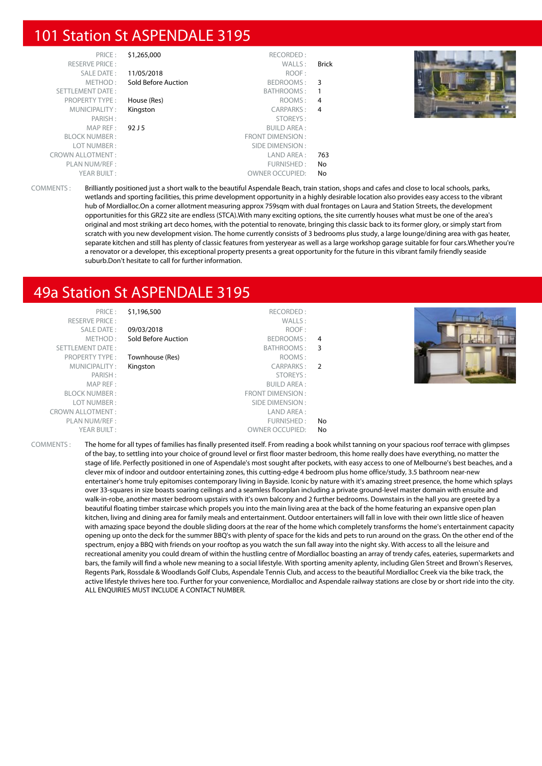#### 101 Station St ASPENDALE 3195

| PRICE:                  | \$1,265,000         | RECORDED:               |              |
|-------------------------|---------------------|-------------------------|--------------|
| <b>RESERVE PRICE:</b>   |                     | WALLS:                  | <b>Brick</b> |
| SALE DATE:              | 11/05/2018          | ROOF:                   |              |
| METHOD:                 | Sold Before Auction | BEDROOMS:               | 3            |
| <b>SETTLEMENT DATE:</b> |                     | BATHROOMS:              |              |
| <b>PROPERTY TYPE:</b>   | House (Res)         | ROOMS:                  | 4            |
| MUNICIPALITY:           | Kingston            | CARPARKS:               | 4            |
| PARISH:                 |                     | STOREYS:                |              |
| MAP REF:                | 92 <sub>15</sub>    | <b>BUILD AREA:</b>      |              |
| <b>BLOCK NUMBER:</b>    |                     | <b>FRONT DIMENSION:</b> |              |
| LOT NUMBER:             |                     | SIDE DIMENSION:         |              |
| <b>CROWN ALLOTMENT:</b> |                     | LAND AREA:              | 763          |
| PLAN NUM/REF:           |                     | FURNISHED:              | No           |
| YEAR BUILT:             |                     | <b>OWNER OCCUPIED:</b>  | No           |



COMMENTS : Brilliantly positioned just a short walk to the beautiful Aspendale Beach, train station, shops and cafes and close to local schools, parks, wetlands and sporting facilities, this prime development opportunity in a highly desirable location also provides easy access to the vibrant hub of Mordialloc.On a corner allotment measuring approx 759sqm with dual frontages on Laura and Station Streets, the development opportunities for this GRZ2 site are endless (STCA).With many exciting options, the site currently houses what must be one of the area's original and most striking art deco homes, with the potential to renovate, bringing this classic back to its former glory, or simply start from scratch with you new development vision. The home currently consists of 3 bedrooms plus study, a large lounge/dining area with gas heater, separate kitchen and still has plenty of classic features from yesteryear as well as a large workshop garage suitable for four cars.Whether you're a renovator or a developer, this exceptional property presents a great opportunity for the future in this vibrant family friendly seaside suburb.Don't hesitate to call for further information.

### 49a Station St ASPENDALE 3195

| PRICE:                  | \$1,196,500         | RECORDED:              |                |  |
|-------------------------|---------------------|------------------------|----------------|--|
| <b>RESERVE PRICE:</b>   |                     | WALLS:                 |                |  |
| SALE DATE:              | 09/03/2018          | ROOF:                  |                |  |
| METHOD:                 | Sold Before Auction | BEDROOMS:              | $\overline{4}$ |  |
| <b>SETTLEMENT DATE:</b> |                     | BATHROOMS:             | -3             |  |
| <b>PROPERTY TYPE:</b>   | Townhouse (Res)     | ROOMS:                 |                |  |
| MUNICIPALITY:           | Kingston            | CARPARKS:              | $\overline{2}$ |  |
| PARISH:                 |                     | STOREYS:               |                |  |
| MAP REF:                |                     | <b>BUILD AREA:</b>     |                |  |
| <b>BLOCK NUMBER:</b>    |                     | FRONT DIMENSION:       |                |  |
| LOT NUMBER :            |                     | SIDE DIMENSION :       |                |  |
| <b>CROWN ALLOTMENT:</b> |                     | LAND AREA:             |                |  |
| PLAN NUM/REF :          |                     | FURNISHED:             | No.            |  |
| YEAR BUILT:             |                     | <b>OWNER OCCUPIED:</b> | No             |  |
|                         |                     |                        |                |  |



COMMENTS : The home for all types of families has finally presented itself. From reading a book whilst tanning on your spacious roof terrace with glimpses of the bay, to settling into your choice of ground level or first floor master bedroom, this home really does have everything, no matter the stage of life. Perfectly positioned in one of Aspendale's most sought after pockets, with easy access to one of Melbourne's best beaches, and a clever mix of indoor and outdoor entertaining zones, this cutting-edge 4 bedroom plus home office/study, 3.5 bathroom near-new entertainer's home truly epitomises contemporary living in Bayside. Iconic by nature with it's amazing street presence, the home which splays over 33-squares in size boasts soaring ceilings and a seamless floorplan including a private ground-level master domain with ensuite and walk-in-robe, another master bedroom upstairs with it's own balcony and 2 further bedrooms. Downstairs in the hall you are greeted by a beautiful floating timber staircase which propels you into the main living area at the back of the home featuring an expansive open plan kitchen, living and dining area for family meals and entertainment. Outdoor entertainers will fall in love with their own little slice of heaven with amazing space beyond the double sliding doors at the rear of the home which completely transforms the home's entertainment capacity opening up onto the deck for the summer BBQ's with plenty of space for the kids and pets to run around on the grass. On the other end of the spectrum, enjoy a BBQ with friends on your rooftop as you watch the sun fall away into the night sky. With access to all the leisure and recreational amenity you could dream of within the hustling centre of Mordialloc boasting an array of trendy cafes, eateries, supermarkets and bars, the family will find a whole new meaning to a social lifestyle. With sporting amenity aplenty, including Glen Street and Brown's Reserves, Regents Park, Rossdale & Woodlands Golf Clubs, Aspendale Tennis Club, and access to the beautiful Mordialloc Creek via the bike track, the active lifestyle thrives here too. Further for your convenience, Mordialloc and Aspendale railway stations are close by or short ride into the city. ALL ENQUIRIES MUST INCLUDE A CONTACT NUMBER.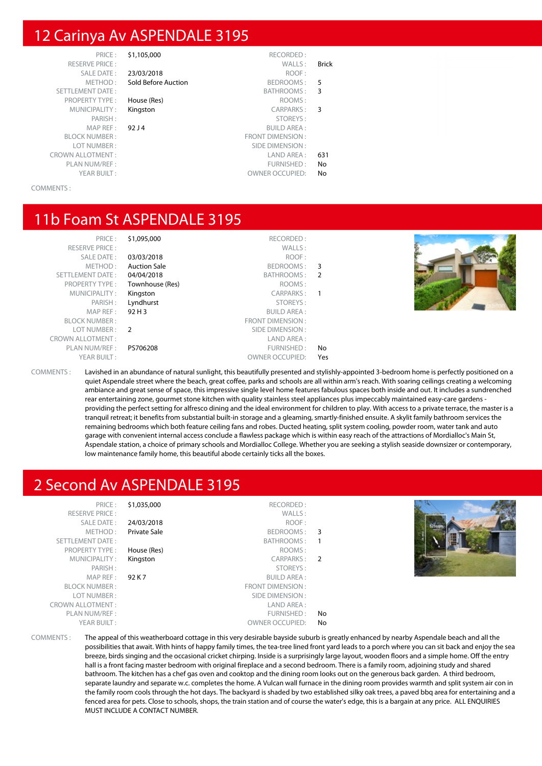#### 12 Carinya Av ASPENDALE 3195

|              | RECORDED:               | \$1,105,000         | PRICE:                  |
|--------------|-------------------------|---------------------|-------------------------|
| <b>Brick</b> | WALLS:                  |                     | <b>RESERVE PRICE:</b>   |
|              | ROOF:                   | 23/03/2018          | <b>SALE DATE:</b>       |
| 5            | BEDROOMS:               | Sold Before Auction | METHOD:                 |
| 3            | <b>BATHROOMS:</b>       |                     | <b>SETTLEMENT DATE:</b> |
|              | ROOMS:                  | House (Res)         | <b>PROPERTY TYPE:</b>   |
| 3            | <b>CARPARKS:</b>        | Kingston            | MUNICIPALITY:           |
|              | STOREYS:                |                     | PARISH:                 |
|              | <b>BUILD AREA:</b>      | $92 \text{ J}4$     | MAP REF:                |
|              | <b>FRONT DIMENSION:</b> |                     | <b>BLOCK NUMBER:</b>    |
|              | SIDE DIMENSION:         |                     | LOT NUMBER:             |
| 631          | LAND AREA :             |                     | <b>CROWN ALLOTMENT:</b> |
| No           | FURNISHED:              |                     | PLAN NUM/REF :          |
| No           | <b>OWNER OCCUPIED:</b>  |                     | YEAR BUILT:             |
|              |                         |                     |                         |

#### COMMENTS :

#### 11b Foam St ASPENDALE 3195

| PRICE:                  | \$1,095,000         | RECORDED:              |     |  |
|-------------------------|---------------------|------------------------|-----|--|
| <b>RESERVE PRICE:</b>   |                     | WALLS:                 |     |  |
| SALE DATE:              | 03/03/2018          | ROOF:                  |     |  |
| METHOD:                 | <b>Auction Sale</b> | BEDROOMS: 3            |     |  |
| SETTLEMENT DATE:        | 04/04/2018          | BATHROOMS: 2           |     |  |
| <b>PROPERTY TYPE:</b>   | Townhouse (Res)     | ROOMS:                 |     |  |
| MUNICIPALITY:           | Kingston            | CARPARKS: 1            |     |  |
| PARISH:                 | Lyndhurst           | STOREYS:               |     |  |
| MAP REF :<br>92 H 3     |                     | <b>BUILD AREA:</b>     |     |  |
| <b>BLOCK NUMBER:</b>    |                     | FRONT DIMENSION:       |     |  |
| LOT NUMBER: 2           |                     | SIDE DIMENSION :       |     |  |
| <b>CROWN ALLOTMENT:</b> |                     | LAND AREA :            |     |  |
| PLAN NUM/REF :          | PS706208            | FURNISHED:             | No. |  |
| YEAR BUILT:             |                     | <b>OWNER OCCUPIED:</b> | Yes |  |

COMMENTS : Lavished in an abundance of natural sunlight, this beautifully presented and stylishly-appointed 3-bedroom home is perfectly positioned on a quiet Aspendale street where the beach, great coffee, parks and schools are all within arm's reach. With soaring ceilings creating a welcoming ambiance and great sense of space, this impressive single level home features fabulous spaces both inside and out. It includes a sundrenched rear entertaining zone, gourmet stone kitchen with quality stainless steel appliances plus impeccably maintained easy-care gardens providing the perfect setting for alfresco dining and the ideal environment for children to play. With access to a private terrace, the master is a tranquil retreat; it benefits from substantial built-in storage and a gleaming, smartly-finished ensuite. A skylit family bathroom services the remaining bedrooms which both feature ceiling fans and robes. Ducted heating, split system cooling, powder room, water tank and auto garage with convenient internal access conclude a flawless package which is within easy reach of the attractions of Mordialloc's Main St, Aspendale station, a choice of primary schools and Mordialloc College. Whether you are seeking a stylish seaside downsizer or contemporary, low maintenance family home, this beautiful abode certainly ticks all the boxes.

#### 2 Second Av ASPENDALE 3195

| PRICE:                  | \$1,035,000         | RECORDED:              |     |  |
|-------------------------|---------------------|------------------------|-----|--|
| <b>RESERVE PRICE:</b>   |                     | WALLS:                 |     |  |
| SALE DATE:              | 24/03/2018          | ROOF:                  |     |  |
| METHOD:                 | <b>Private Sale</b> | BEDROOMS: 3            |     |  |
| SETTLEMENT DATE:        |                     | BATHROOMS: 1           |     |  |
| <b>PROPERTY TYPE:</b>   | House (Res)         | ROOMS:                 |     |  |
| MUNICIPALITY:           | Kingston            | CARPARKS: 2            |     |  |
| PARISH:                 |                     | STOREYS:               |     |  |
| MAPREF:                 | 92 K 7              | <b>BUILD AREA:</b>     |     |  |
| <b>BLOCK NUMBER:</b>    |                     | FRONT DIMENSION:       |     |  |
| LOT NUMBER:             |                     | SIDE DIMENSION :       |     |  |
| <b>CROWN ALLOTMENT:</b> |                     | LAND AREA:             |     |  |
| PLAN NUM/REF :          |                     | FURNISHED:             | No. |  |
| YEAR BUILT:             |                     | <b>OWNER OCCUPIED:</b> | No  |  |
|                         |                     |                        |     |  |

COMMENTS : The appeal of this weatherboard cottage in this very desirable bayside suburb is greatly enhanced by nearby Aspendale beach and all the possibilities that await. With hints of happy family times, the tea-tree lined front yard leads to a porch where you can sit back and enjoy the sea breeze, birds singing and the occasional cricket chirping. Inside is a surprisingly large layout, wooden floors and a simple home. Off the entry hall is a front facing master bedroom with original fireplace and a second bedroom. There is a family room, adjoining study and shared bathroom. The kitchen has a chef gas oven and cooktop and the dining room looks out on the generous back garden. A third bedroom, separate laundry and separate w.c. completes the home. A Vulcan wall furnace in the dining room provides warmth and split system air con in the family room cools through the hot days. The backyard is shaded by two established silky oak trees, a paved bbq area for entertaining and a fenced area for pets. Close to schools, shops, the train station and of course the water's edge, this is a bargain at any price. ALL ENQUIRIES MUST INCLUDE A CONTACT NUMBER.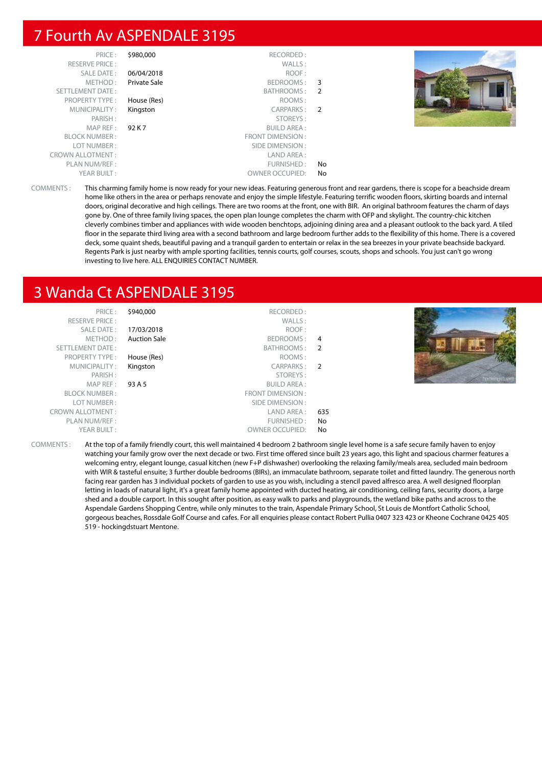#### 7 Fourth Av ASPENDALE 3195

| PRICE:                  | \$980,000    | RECORDED:              |    |  |
|-------------------------|--------------|------------------------|----|--|
| <b>RESERVE PRICE:</b>   |              | WALLS:                 |    |  |
| SALE DATE:              | 06/04/2018   | ROOF:                  |    |  |
| METHOD:                 | Private Sale | BEDROOMS: 3            |    |  |
| SETTLEMENT DATE:        |              | BATHROOMS: 2           |    |  |
| PROPERTY TYPE:          | House (Res)  | ROOMS:                 |    |  |
| MUNICIPALITY:           | Kingston     | CARPARKS: 2            |    |  |
| PARISH:                 |              | STOREYS:               |    |  |
| MAPREF:                 | 92 K 7       | <b>BUILD AREA:</b>     |    |  |
| <b>BLOCK NUMBER:</b>    |              | FRONT DIMENSION:       |    |  |
| LOT NUMBER:             |              | SIDE DIMENSION :       |    |  |
| <b>CROWN ALLOTMENT:</b> |              | LAND AREA :            |    |  |
| PLAN NUM/REF :          |              | FURNISHED:             | No |  |
| YEAR BUILT:             |              | <b>OWNER OCCUPIED:</b> | No |  |

COMMENTS : This charming family home is now ready for your new ideas. Featuring generous front and rear gardens, there is scope for a beachside dream home like others in the area or perhaps renovate and enjoy the simple lifestyle. Featuring terrific wooden floors, skirting boards and internal doors, original decorative and high ceilings. There are two rooms at the front, one with BIR. An original bathroom features the charm of days gone by. One of three family living spaces, the open plan lounge completes the charm with OFP and skylight. The country-chic kitchen cleverly combines timber and appliances with wide wooden benchtops, adjoining dining area and a pleasant outlook to the back yard. A tiled floor in the separate third living area with a second bathroom and large bedroom further adds to the flexibility of this home. There is a covered deck, some quaint sheds, beautiful paving and a tranquil garden to entertain or relax in the sea breezes in your private beachside backyard. Regents Park is just nearby with ample sporting facilities, tennis courts, golf courses, scouts, shops and schools. You just can't go wrong investing to live here. ALL ENQUIRIES CONTACT NUMBER.

#### 3 Wanda Ct ASPENDALE 3195

| PRICE:                  | \$940,000           | RECORDED:              |     |           |
|-------------------------|---------------------|------------------------|-----|-----------|
| <b>RESERVE PRICE:</b>   |                     | WALLS:                 |     |           |
| SALE DATE:              | 17/03/2018          | ROOF:                  |     |           |
| METHOD:                 | <b>Auction Sale</b> | BEDROOMS:              | -4  |           |
| <b>SETTLEMENT DATE:</b> |                     | BATHROOMS :            | -2  |           |
| <b>PROPERTY TYPE:</b>   | House (Res)         | ROOMS:                 |     |           |
| MUNICIPALITY:           | Kingston            | CARPARKS: 2            |     |           |
| PARISH:                 |                     | STOREYS:               |     | hockingst |
| MAP REF :               | 93 A 5              | <b>BUILD AREA:</b>     |     |           |
| <b>BLOCK NUMBER:</b>    |                     | FRONT DIMENSION :      |     |           |
| LOT NUMBER:             |                     | SIDE DIMENSION :       |     |           |
| <b>CROWN ALLOTMENT:</b> |                     | LAND AREA :            | 635 |           |
| PLAN NUM/REF:           |                     | FURNISHED:             | No  |           |
| YEAR BUILT:             |                     | <b>OWNER OCCUPIED:</b> | No. |           |
|                         |                     |                        |     |           |

COMMENTS : At the top of a family friendly court, this well maintained 4 bedroom 2 bathroom single level home is a safe secure family haven to enjoy watching your family grow over the next decade or two. First time offered since built 23 years ago, this light and spacious charmer features a welcoming entry, elegant lounge, casual kitchen (new F+P dishwasher) overlooking the relaxing family/meals area, secluded main bedroom with WIR & tasteful ensuite; 3 further double bedrooms (BIRs), an immaculate bathroom, separate toilet and fitted laundry. The generous north facing rear garden has 3 individual pockets of garden to use as you wish, including a stencil paved alfresco area. A well designed floorplan letting in loads of natural light, it's a great family home appointed with ducted heating, air conditioning, ceiling fans, security doors, a large shed and a double carport. In this sought after position, as easy walk to parks and playgrounds, the wetland bike paths and across to the Aspendale Gardens Shopping Centre, while only minutes to the train, Aspendale Primary School, St Louis de Montfort Catholic School, gorgeous beaches, Rossdale Golf Course and cafes. For all enquiries please contact Robert Pullia 0407 323 423 or Kheone Cochrane 0425 405 519 - hockingdstuart Mentone.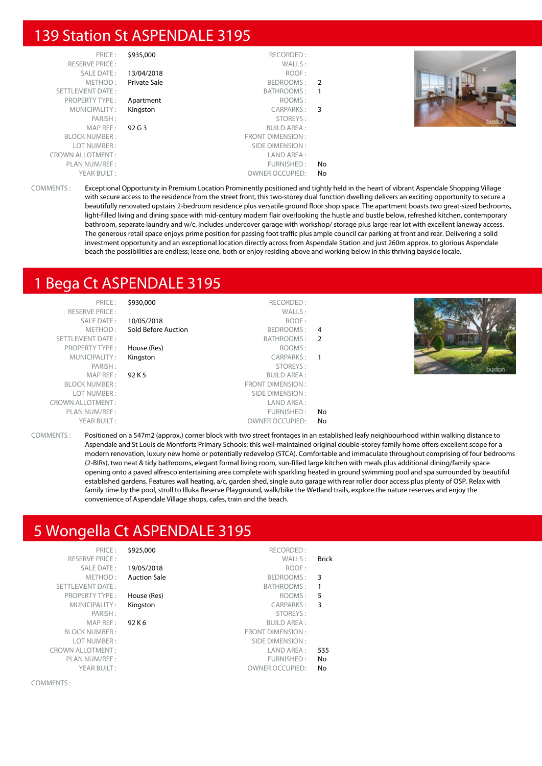#### 139 Station St ASPENDALE 3195

| PRICE:                  | \$935,000    | RECORDED:               |               |
|-------------------------|--------------|-------------------------|---------------|
| <b>RESERVE PRICE:</b>   |              | WALLS:                  |               |
| <b>SALE DATE:</b>       | 13/04/2018   | ROOF:                   |               |
| METHOD:                 | Private Sale | BEDROOMS:               | $\mathcal{P}$ |
| <b>SETTLEMENT DATE:</b> |              | BATHROOMS:              | 1             |
| <b>PROPERTY TYPE:</b>   | Apartment    | ROOMS:                  |               |
| MUNICIPALITY:           | Kingston     | <b>CARPARKS:</b>        | 3             |
| PARISH:                 |              | STOREYS:                |               |
| MAP REF:                | 92G3         | <b>BUILD AREA:</b>      |               |
| <b>BLOCK NUMBER:</b>    |              | <b>FRONT DIMENSION:</b> |               |
| LOT NUMBER:             |              | SIDE DIMENSION:         |               |
| <b>CROWN ALLOTMENT:</b> |              | LAND AREA:              |               |
| PLAN NUM/REF:           |              | FURNISHED:              | No            |
| YEAR BUILT:             |              | <b>OWNER OCCUPIED:</b>  | No            |



COMMENTS : Exceptional Opportunity in Premium Location Prominently positioned and tightly held in the heart of vibrant Aspendale Shopping Village with secure access to the residence from the street front, this two-storey dual function dwelling delivers an exciting opportunity to secure a beautifully renovated upstairs 2-bedroom residence plus versatile ground floor shop space. The apartment boasts two great-sized bedrooms, light-filled living and dining space with mid-century modern flair overlooking the hustle and bustle below, refreshed kitchen, contemporary bathroom, separate laundry and w/c. Includes undercover garage with workshop/ storage plus large rear lot with excellent laneway access. The generous retail space enjoys prime position for passing foot traffic plus ample council car parking at front and rear. Delivering a solid investment opportunity and an exceptional location directly across from Aspendale Station and just 260m approx. to glorious Aspendale beach the possibilities are endless; lease one, both or enjoy residing above and working below in this thriving bayside locale.

#### 1 Bega Ct ASPENDALE 3195

| PRICE:                  | \$930,000           | RECORDED:              |     |                                                                                                                                         |
|-------------------------|---------------------|------------------------|-----|-----------------------------------------------------------------------------------------------------------------------------------------|
| <b>RESERVE PRICE:</b>   |                     | WALLS:                 |     |                                                                                                                                         |
| SALE DATE:              | 10/05/2018          | ROOF:                  |     |                                                                                                                                         |
| METHOD:                 | Sold Before Auction | BEDROOMS: 4            |     |                                                                                                                                         |
| SETTLEMENT DATE:        |                     | BATHROOMS: 2           |     |                                                                                                                                         |
| <b>PROPERTY TYPE:</b>   | House (Res)         | ROOMS:                 |     |                                                                                                                                         |
| MUNICIPALITY:           | Kingston            | <b>CARPARKS:</b>       |     |                                                                                                                                         |
| PARISH:                 |                     | STOREYS:               |     | buxton                                                                                                                                  |
| MAP REF :               | 92 K 5              | BUILD AREA :           |     |                                                                                                                                         |
| <b>BLOCK NUMBER:</b>    |                     | FRONT DIMENSION:       |     |                                                                                                                                         |
| LOT NUMBER:             |                     | SIDE DIMENSION :       |     |                                                                                                                                         |
| <b>CROWN ALLOTMENT:</b> |                     | LAND AREA :            |     |                                                                                                                                         |
| PLAN NUM/REF:           |                     | FURNISHED:             | No. |                                                                                                                                         |
| YEAR BUILT:             |                     | <b>OWNER OCCUPIED:</b> | No. |                                                                                                                                         |
| COMMENTS :              |                     |                        |     | Positioned on a 547m2 (approx.) corner block with two street frontages in an established leafy neighbourhood within walking distance to |

Aspendale and St Louis de Montforts Primary Schools; this well-maintained original double-storey family home offers excellent scope for a modern renovation, luxury new home or potentially redevelop (STCA). Comfortable and immaculate throughout comprising of four bedrooms (2-BIRs), two neat & tidy bathrooms, elegant formal living room, sun-filled large kitchen with meals plus additional dining/family space opening onto a paved alfresco entertaining area complete with sparkling heated in ground swimming pool and spa surrounded by beautiful established gardens. Features wall heating, a/c, garden shed, single auto garage with rear roller door access plus plenty of OSP. Relax with family time by the pool, stroll to Illuka Reserve Playground, walk/bike the Wetland trails, explore the nature reserves and enjoy the convenience of Aspendale Village shops, cafes, train and the beach.

#### 5 Wongella Ct ASPENDALE 3195

PRICE : \$925,000 RECORDED : RESERVE PRICE : WALLS : Brick METHOD : Auction Sale BEDROOMS : 3 SETTLEMENT DATE : 1999 BATHROOMS : 1999 BATHROOMS : 1999 BATHROOMS : 1999 BATHROOMS : 1999 BATHROOMS : 1999 BATHROOMS : 1999 BATHROOMS : 1999 BATHROOMS : 1999 BATHROOMS : 1999 BATHROOMS : 1999 BATHROOMS : 1999 BATHROOMS : PROPERTY TYPE : House (Res) MUNICIPALITY: Kingston CARPARKS: 3 MAP REF : **92 K 6** BUILD AREA :<br>BLOCK NUMBER : **62 K 6** BLOCK NUMBER : CROWN ALLOTMENT : LAND AREA : 535 PLAN NUM/REF :  $NO$ YEAR BUILT : OWNER OCCUPIED: No

SALE DATE: 19/05/2018

LOT NUMBER : SIDE DIMENSION :

COMMENTS :

|   | ROOF:      |
|---|------------|
| 3 | BEDROOMS : |
| 1 | ATHROOMS : |
| 5 | ROOMS:     |

PARISH : STOREYS : STOREYS : STOREYS : STOREYS : STOREYS : STOREYS : STOREYS : SUILD AREA : FRONT DIMENSION :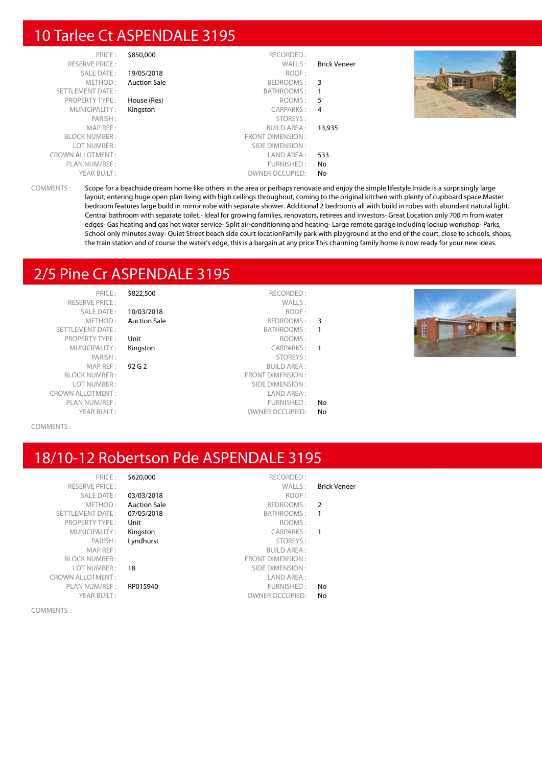#### 10 Tarlee Ct ASPENDALE 3195

| PRICE:                  | \$850,000           | RECORDED:              |                     |  |
|-------------------------|---------------------|------------------------|---------------------|--|
| <b>RESERVE PRICE:</b>   |                     | WALLS:                 | <b>Brick Veneer</b> |  |
| SALE DATE:              | 19/05/2018          | ROOF:                  |                     |  |
| METHOD:                 | <b>Auction Sale</b> | BEDROOMS:              | - 3                 |  |
| SETTLEMENT DATE:        |                     | BATHROOMS:             |                     |  |
| <b>PROPERTY TYPE:</b>   | House (Res)         | ROOMS:                 | - 5                 |  |
| MUNICIPALITY:           | Kingston            | CARPARKS:              | 4                   |  |
| PARISH:                 |                     | STOREYS:               |                     |  |
| MAP REF:                |                     | <b>BUILD AREA:</b>     | 13,935              |  |
| <b>BLOCK NUMBER:</b>    |                     | FRONT DIMENSION:       |                     |  |
| LOT NUMBER:             |                     | SIDE DIMENSION :       |                     |  |
| <b>CROWN ALLOTMENT:</b> |                     | LAND AREA :            | 533                 |  |
| PLAN NUM/REF:           |                     | FURNISHED:             | No.                 |  |
| YEAR BUILT:             |                     | <b>OWNER OCCUPIED:</b> | No                  |  |

COMMENTS : Scope for a beachside dream home like others in the area or perhaps renovate and enjoy the simple lifestyle.Inside is a surprisingly large layout, entering huge open plan living with high ceilings throughout, coming to the original kitchen with plenty of cupboard space.Master bedroom features large build in mirror robe with separate shower. Additional 2 bedrooms all with build in robes with abundant natural light. Central bathroom with separate toilet.- Ideal for growing families, renovators, retirees and investors- Great Location only 700 m from water edges- Gas heating and gas hot water service- Split air-conditioning and heating- Large remote garage including lockup workshop- Parks, School only minutes away- Quiet Street beach side court locationFamily park with playground at the end of the court, close to schools, shops, the train station and of course the water's edge, this is a bargain at any price.This charming family home is now ready for your new ideas.

#### 2/5 Pine Cr ASPENDALE 3195

PRICE : \$822,500 RECORDED : RESERVE PRICE :  $\blacksquare$ <br>
SALE DATE :  $\blacksquare$  10/03/2018  $\blacksquare$  ROOF : SETTLEMENT DATE : SETTLEMENT DATE : SATHROOMS : 1 PROPERTY TYPE : Unit the state of the company of the company of the company of the company of the company of the company of the company of the company of the company of the company of the company of the company of the comp MUNICIPALITY: Kingston CARPARKS: 1 CROWN ALLOTMENT: PLAN NUM/REF : FURNISHED : No

**SALE DATE : 10/03/2018** ROOF :

- 
- 
- -

- 
- 
- 

SETTLEMENT DATE PROPERTY TYPE MUNICIPALITY<br>PARISH

BLOCK NUMBER LOT NUMBER CROWN ALLOTMENT

# METHOD : **Auction Sale BEDROOMS** : 3

- 
- 
- PARISH : STOREYS : MAP REF : **92 G 2** BUILD AREA :<br>BLOCK NUMBER : **92 G 2** BLOCK NUMBER : **ERONT DIMENSION** : FRONT DIMENSION : LOT NUMBER : SIDE DIMENSION :<br>
NALLOTMENT : SIDE DIMENSION : SIDE DIMENSION : SIDE DIMENSION : OWNER OCCUPIED: No



#### COMMENTS :

## 18/10-12 Robertson Pde ASPENDALE 3195

| PRICE:                 | \$620,000           | RECORDED:               |                     |  |
|------------------------|---------------------|-------------------------|---------------------|--|
| <b>RESERVE PRICE:</b>  |                     | WALLS:                  | <b>Brick Veneer</b> |  |
| <b>SALE DATE:</b>      | 03/03/2018          | ROOF:                   |                     |  |
| METHOD:                | <b>Auction Sale</b> | BEDROOMS:               | 2                   |  |
| <b>TTLEMENT DATE :</b> | 07/05/2018          | <b>BATHROOMS:</b>       | 1                   |  |
| <b>PROPERTY TYPE:</b>  | Unit                | ROOMS:                  |                     |  |
| MUNICIPALITY:          | Kingston            | CARPARKS:               | 1                   |  |
| PARISH:                | Lyndhurst           | STOREYS:                |                     |  |
| MAP REF:               |                     | <b>BUILD AREA:</b>      |                     |  |
| <b>BLOCK NUMBER:</b>   |                     | <b>FRONT DIMENSION:</b> |                     |  |
| LOT NUMBER:            | 18                  | SIDE DIMENSION:         |                     |  |
| WN ALLOTMENT:          |                     | LAND AREA :             |                     |  |
| PLAN NUM/REF:          | RP015940            | FURNISHED:              | No                  |  |
| YEAR BUILT:            |                     | <b>OWNER OCCUPIED:</b>  | No                  |  |

COMMENTS :

| .LS :                | Brick Ve |
|----------------------|----------|
| OF :                 |          |
| VIS:                 | 2        |
| VIS:                 | 1        |
| VIS:                 |          |
| KS:                  | 1        |
| YS :                 |          |
| EA :                 |          |
| $\sim$ $\sim$ $\sim$ |          |